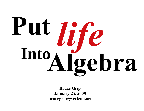# Put *life*<br>Into Algebra

**Bruce Grip January 25, 2009 brucegrip@verizon.net**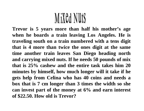# MiXed Nuts

**Trevor is 5 years more than half his mother's age when he boards a train leaving Los Angeles. He is traveling south on a train numbered with a tens digit that is 4 more than twice the ones digit at the same time another train leaves San Diego heading north and carrying mixed nuts. If he needs 50 pounds of mix that is 25% cashew and the entire task takes him 20 minutes by himself, how much longer will it take if he gets help from Celina who has 40 coins and needs a box that is 7 cm longer than 3 times the width so she can invest part of the money at 6% and earn interest of \$22.50. How old is Trevor?**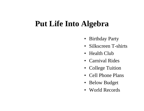#### **Put Life Into Algebra**

- Birthday Party
- $\bullet$ Silkscreen T-shirts
- Health Club
- Carnival Rides
- College Tuition
- Cell Phone Plans
- Below Budget
- World Records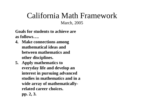## California Math Framework

March, 2005

**Goals for students to achieve are as follows….**

- **4. Make connections among mathematical ideas and between mathematics and other disciplines.**
- **5. Apply mathematics to everyday life and develop an interest in pursuing advanced studies in mathematics and in a wide array of mathematicallyrelated career choices. pp. 2, 3.**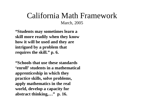#### California Math Framework March, 2005

**"Students may sometimes learn a skill more readily when they know how it will be used and they are intrigued by a problem that requires the skill." p. 6.**

**"Schools that use these standards 'enroll' students in a mathematical apprenticeship in which they practice skills, solve problems, apply mathematics in the real world, develop a capacity for abstract thinking,…" p. 16.**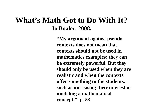#### **What's Math Got to Do With It? Jo Boaler, 2008.**

**"My argument against pseudo contexts does not mean that contexts should not be used in mathematics examples; they can be extremely powerful. But they should only be used when they are realistic and when the contexts offer something to the students, such as increasing their interest or modeling a mathematical concept." p. 53.**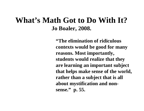#### **What's Math Got to Do With It? Jo Boaler, 2008.**

**"The elimination of ridiculous contexts would be good for many reasons. Most importantly, students would realize that they are learning an important subject that helps make sense of the world, rather than a subject that is all about mystification and nonsense." p. 55.**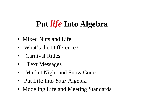#### **Put** *life* **Into Algebra**

- Mixed Nuts and Life
- •What's the Difference?
- •Carnival Rides
- •Text Messages
- •Market Night and Snow Cones
- Put Life Into *Your* Algebra
- Modeling Life and Meeting Standards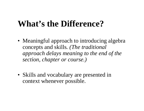#### **What's the Difference?**

- Meaningful approach to introducing algebra concepts and skills*. (The traditional approach delays meaning to the end of the section, chapter or course.)*
- Skills and vocabulary are presented in context whenever possible.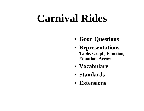# **Carnival Rides**

- **Good Questions**
- **Representations Table, Graph, Function, Equation, Arrow**
- **Vocabulary**
- **Standards**
- **Extensions**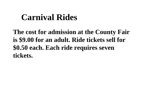## **Carnival Rides**

**The cost for admission at the County Fair is \$9.00 for an adult. Ride tickets sell for \$0.50 each. Each ride requires seven tickets.**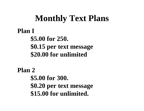### **Monthly Text Plans**

**Plan I \$5.00 for 250. \$0.15 per text message \$20.00 for unlimited**

**Plan 2\$5.00 for 300. \$0.20 per text message \$15.00 for unlimited.**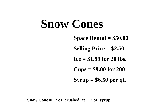# **Snow Cones**

**Space Rental = \$50.00**

**Selling Price = \$2.50**

**Ice = \$1.99 for 20 lbs.**

**Cups = \$9.00 for 200**

**Syrup = \$6.50 per qt.**

**Snow Cone = 12 oz. crushed ice + 2 oz. syrup**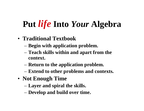## **Put** *life* **Into** *Your* **Algebra**

- **Traditional Textbook**
	- **Begin with application problem.**
	- **Teach skills within and apart from the context.**
	- **Return to the application problem.**
	- **Extend to other problems and contexts.**
- **Not Enough Time**
	- **Layer and spiral the skills.**
	- **Develop and build over time.**